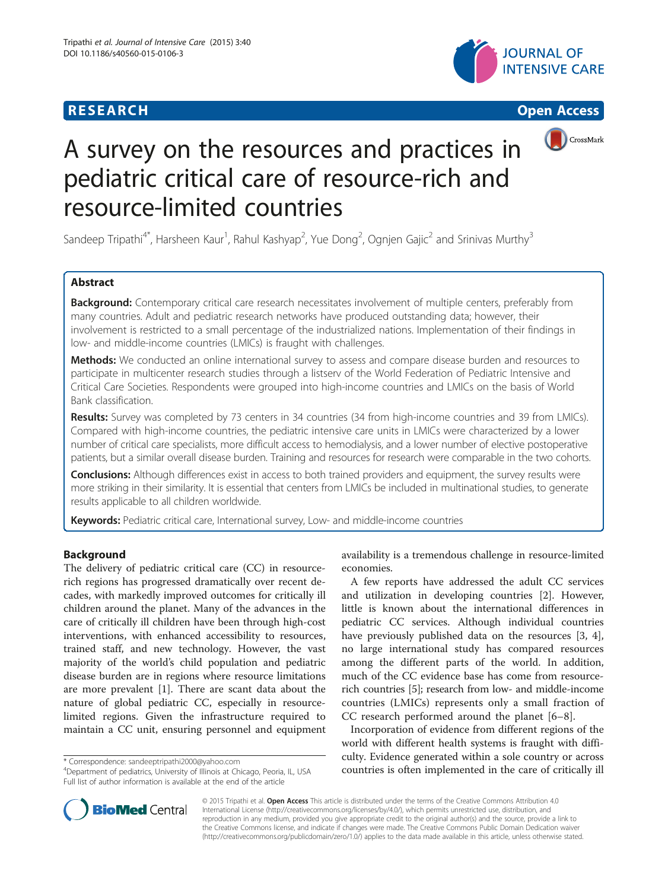## **RESEARCH CHINESE ARCH CHINESE ARCH CHINESE ARCH <b>CHINESE ARCH**







# A survey on the resources and practices in pediatric critical care of resource-rich and resource-limited countries

Sandeep Tripathi<sup>4\*</sup>, Harsheen Kaur<sup>1</sup>, Rahul Kashyap<sup>2</sup>, Yue Dong<sup>2</sup>, Ognjen Gajic<sup>2</sup> and Srinivas Murthy<sup>3</sup>

## Abstract

Background: Contemporary critical care research necessitates involvement of multiple centers, preferably from many countries. Adult and pediatric research networks have produced outstanding data; however, their involvement is restricted to a small percentage of the industrialized nations. Implementation of their findings in low- and middle-income countries (LMICs) is fraught with challenges.

Methods: We conducted an online international survey to assess and compare disease burden and resources to participate in multicenter research studies through a listserv of the World Federation of Pediatric Intensive and Critical Care Societies. Respondents were grouped into high-income countries and LMICs on the basis of World Bank classification.

Results: Survey was completed by 73 centers in 34 countries (34 from high-income countries and 39 from LMICs). Compared with high-income countries, the pediatric intensive care units in LMICs were characterized by a lower number of critical care specialists, more difficult access to hemodialysis, and a lower number of elective postoperative patients, but a similar overall disease burden. Training and resources for research were comparable in the two cohorts.

**Conclusions:** Although differences exist in access to both trained providers and equipment, the survey results were more striking in their similarity. It is essential that centers from LMICs be included in multinational studies, to generate results applicable to all children worldwide.

Keywords: Pediatric critical care, International survey, Low- and middle-income countries

## Background

The delivery of pediatric critical care (CC) in resourcerich regions has progressed dramatically over recent decades, with markedly improved outcomes for critically ill children around the planet. Many of the advances in the care of critically ill children have been through high-cost interventions, with enhanced accessibility to resources, trained staff, and new technology. However, the vast majority of the world's child population and pediatric disease burden are in regions where resource limitations are more prevalent [\[1\]](#page-4-0). There are scant data about the nature of global pediatric CC, especially in resourcelimited regions. Given the infrastructure required to maintain a CC unit, ensuring personnel and equipment

<sup>4</sup>Department of pediatrics, University of Illinois at Chicago, Peoria, IL, USA Full list of author information is available at the end of the article

availability is a tremendous challenge in resource-limited economies.

A few reports have addressed the adult CC services and utilization in developing countries [\[2](#page-4-0)]. However, little is known about the international differences in pediatric CC services. Although individual countries have previously published data on the resources [[3, 4](#page-4-0)], no large international study has compared resources among the different parts of the world. In addition, much of the CC evidence base has come from resourcerich countries [\[5](#page-4-0)]; research from low- and middle-income countries (LMICs) represents only a small fraction of CC research performed around the planet [[6](#page-4-0)–[8\]](#page-4-0).

Incorporation of evidence from different regions of the world with different health systems is fraught with difficulty. Evidence generated within a sole country or across correspondence: [sandeeptripathi2000@yahoo.com](mailto:sandeeptripathi2000@yahoo.com) curry. Evidence generated within a sole country or across<br><sup>4</sup>Department of pediatrics, University of Illinois at Chicago, Peoria, IL, USA **countries is often implemented in the** 



© 2015 Tripathi et al. Open Access This article is distributed under the terms of the Creative Commons Attribution 4.0 International License [\(http://creativecommons.org/licenses/by/4.0/](http://creativecommons.org/licenses/by/4.0/)), which permits unrestricted use, distribution, and reproduction in any medium, provided you give appropriate credit to the original author(s) and the source, provide a link to the Creative Commons license, and indicate if changes were made. The Creative Commons Public Domain Dedication waiver [\(http://creativecommons.org/publicdomain/zero/1.0/](http://creativecommons.org/publicdomain/zero/1.0/)) applies to the data made available in this article, unless otherwise stated.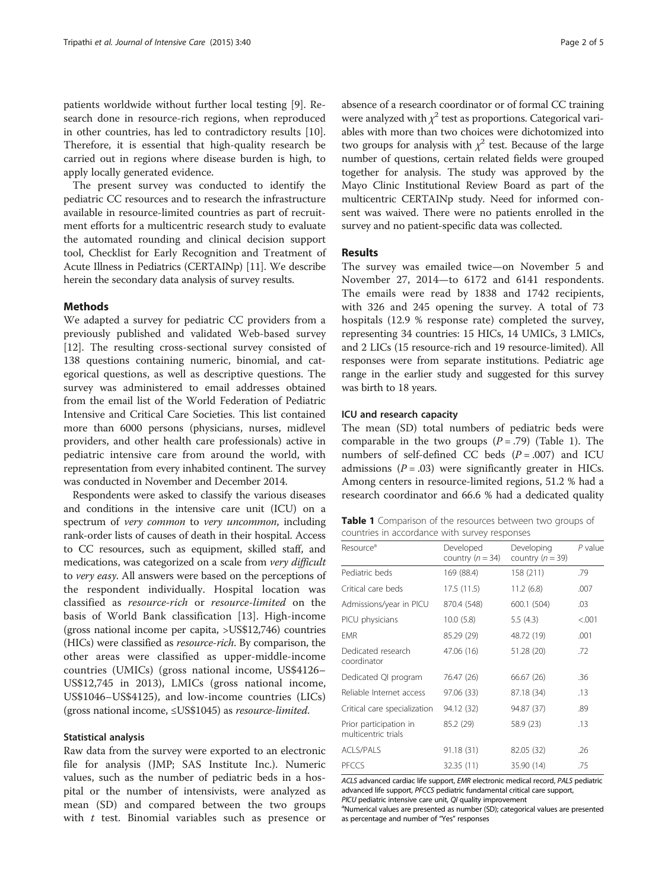<span id="page-1-0"></span>patients worldwide without further local testing [[9\]](#page-4-0). Research done in resource-rich regions, when reproduced in other countries, has led to contradictory results [\[10](#page-4-0)]. Therefore, it is essential that high-quality research be carried out in regions where disease burden is high, to apply locally generated evidence.

The present survey was conducted to identify the pediatric CC resources and to research the infrastructure available in resource-limited countries as part of recruitment efforts for a multicentric research study to evaluate the automated rounding and clinical decision support tool, Checklist for Early Recognition and Treatment of Acute Illness in Pediatrics (CERTAINp) [[11](#page-4-0)]. We describe herein the secondary data analysis of survey results.

#### Methods

We adapted a survey for pediatric CC providers from a previously published and validated Web-based survey [[12\]](#page-4-0). The resulting cross-sectional survey consisted of 138 questions containing numeric, binomial, and categorical questions, as well as descriptive questions. The survey was administered to email addresses obtained from the email list of the World Federation of Pediatric Intensive and Critical Care Societies. This list contained more than 6000 persons (physicians, nurses, midlevel providers, and other health care professionals) active in pediatric intensive care from around the world, with representation from every inhabited continent. The survey was conducted in November and December 2014.

Respondents were asked to classify the various diseases and conditions in the intensive care unit (ICU) on a spectrum of very common to very uncommon, including rank-order lists of causes of death in their hospital. Access to CC resources, such as equipment, skilled staff, and medications, was categorized on a scale from very difficult to very easy. All answers were based on the perceptions of the respondent individually. Hospital location was classified as resource-rich or resource-limited on the basis of World Bank classification [\[13](#page-4-0)]. High-income (gross national income per capita, >US\$12,746) countries (HICs) were classified as resource-rich. By comparison, the other areas were classified as upper-middle-income countries (UMICs) (gross national income, US\$4126– US\$12,745 in 2013), LMICs (gross national income, US\$1046–US\$4125), and low-income countries (LICs) (gross national income,  $\leq$ US\$1045) as *resource-limited*.

#### Statistical analysis

Raw data from the survey were exported to an electronic file for analysis (JMP; SAS Institute Inc.). Numeric values, such as the number of pediatric beds in a hospital or the number of intensivists, were analyzed as mean (SD) and compared between the two groups with  $t$  test. Binomial variables such as presence or

absence of a research coordinator or of formal CC training were analyzed with  $\chi^2$  test as proportions. Categorical variables with more than two choices were dichotomized into two groups for analysis with  $\chi^2$  test. Because of the large number of questions, certain related fields were grouped together for analysis. The study was approved by the Mayo Clinic Institutional Review Board as part of the multicentric CERTAINp study. Need for informed consent was waived. There were no patients enrolled in the survey and no patient-specific data was collected.

### Results

The survey was emailed twice—on November 5 and November 27, 2014—to 6172 and 6141 respondents. The emails were read by 1838 and 1742 recipients, with 326 and 245 opening the survey. A total of 73 hospitals (12.9 % response rate) completed the survey, representing 34 countries: 15 HICs, 14 UMICs, 3 LMICs, and 2 LICs (15 resource-rich and 19 resource-limited). All responses were from separate institutions. Pediatric age range in the earlier study and suggested for this survey was birth to 18 years.

#### ICU and research capacity

The mean (SD) total numbers of pediatric beds were comparable in the two groups  $(P=.79)$  (Table 1). The numbers of self-defined CC beds  $(P=.007)$  and ICU admissions ( $P = .03$ ) were significantly greater in HICs. Among centers in resource-limited regions, 51.2 % had a research coordinator and 66.6 % had a dedicated quality

Table 1 Comparison of the resources between two groups of countries in accordance with survey responses

| Resource <sup>a</sup>                         | Developed<br>country $(n = 34)$ | Developing<br>country $(n = 39)$ | $P$ value |  |
|-----------------------------------------------|---------------------------------|----------------------------------|-----------|--|
| Pediatric beds                                | 169 (88.4)                      | 158 (211)                        | .79       |  |
| Critical care beds                            | 17.5(11.5)                      | 11.2(6.8)                        | .007      |  |
| Admissions/year in PICU                       | 870.4 (548)                     | 600.1 (504)                      | .03       |  |
| PICU physicians                               | 10.0(5.8)                       | 5.5(4.3)                         | < 0.001   |  |
| <b>EMR</b>                                    | 85.29 (29)                      | 48.72 (19)                       | .001      |  |
| Dedicated research<br>coordinator             | 47.06 (16)                      | 51.28 (20)                       | .72       |  |
| Dedicated QI program                          | 76.47 (26)                      | 66.67 (26)                       | .36       |  |
| Reliable Internet access                      | 97.06 (33)                      | 87.18 (34)                       | .13       |  |
| Critical care specialization                  | 94.12 (32)                      | 94.87 (37)                       | .89       |  |
| Prior participation in<br>multicentric trials | 85.2 (29)                       | 58.9 (23)                        | .13       |  |
| <b>ACLS/PALS</b>                              | 91.18(31)                       | 82.05 (32)                       | .26       |  |
| PECCS                                         | 32.35 (11)                      | 35.90 (14)                       | .75       |  |

ACLS advanced cardiac life support, EMR electronic medical record, PALS pediatric advanced life support, PFCCS pediatric fundamental critical care support,  $PICU$  pediatric intensive care unit,  $QI$  quality improvement

<sup>a</sup>Numerical values are presented as number (SD); categorical values are presented as percentage and number of "Yes" responses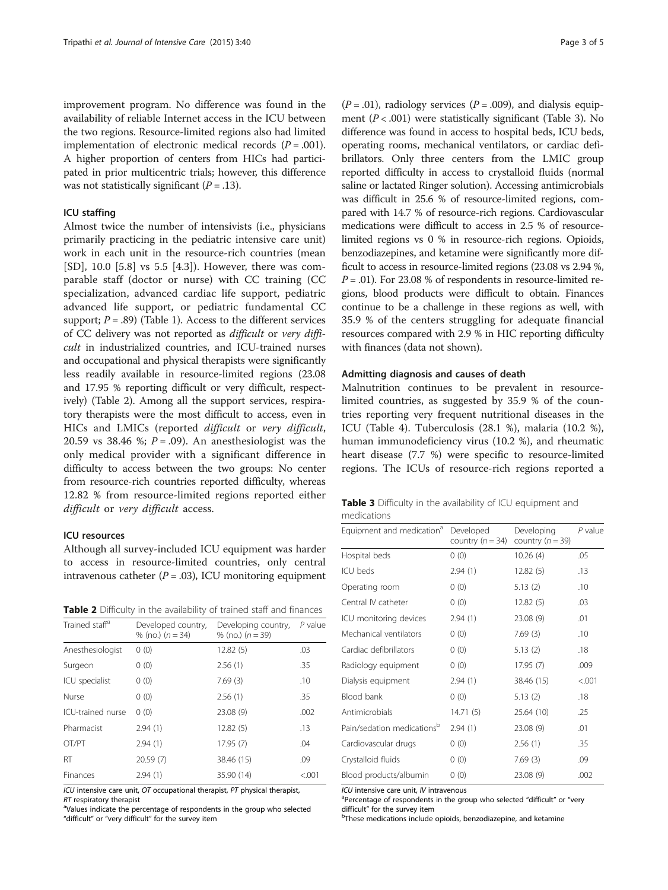improvement program. No difference was found in the availability of reliable Internet access in the ICU between the two regions. Resource-limited regions also had limited implementation of electronic medical records  $(P = .001)$ . A higher proportion of centers from HICs had participated in prior multicentric trials; however, this difference was not statistically significant  $(P = .13)$ .

#### ICU staffing

Almost twice the number of intensivists (i.e., physicians primarily practicing in the pediatric intensive care unit) work in each unit in the resource-rich countries (mean [SD], 10.0 [5.8] vs 5.5 [4.3]). However, there was comparable staff (doctor or nurse) with CC training (CC specialization, advanced cardiac life support, pediatric advanced life support, or pediatric fundamental CC support;  $P = .89$ ) (Table [1\)](#page-1-0). Access to the different services of CC delivery was not reported as difficult or very difficult in industrialized countries, and ICU-trained nurses and occupational and physical therapists were significantly less readily available in resource-limited regions (23.08 and 17.95 % reporting difficult or very difficult, respectively) (Table 2). Among all the support services, respiratory therapists were the most difficult to access, even in HICs and LMICs (reported difficult or very difficult, 20.59 vs 38.46 %;  $P = .09$ ). An anesthesiologist was the only medical provider with a significant difference in difficulty to access between the two groups: No center from resource-rich countries reported difficulty, whereas 12.82 % from resource-limited regions reported either difficult or very difficult access.

## ICU resources

Although all survey-included ICU equipment was harder to access in resource-limited countries, only central intravenous catheter  $(P = .03)$ , ICU monitoring equipment

**Table 2** Difficulty in the availability of trained staff and finances

| Trained staff <sup>a</sup> | Developed country,<br>% (no.) $(n = 34)$ | Developing country,<br>% (no.) $(n = 39)$ | $P$ value |
|----------------------------|------------------------------------------|-------------------------------------------|-----------|
| Anesthesiologist           | 0(0)                                     | 12.82(5)                                  | .03       |
| Surgeon                    | 0(0)                                     | 2.56(1)                                   | .35       |
| ICU specialist             | 0(0)                                     | 7.69(3)                                   | .10       |
| Nurse                      | 0(0)                                     | 2.56(1)                                   | .35       |
| ICU-trained nurse          | 0(0)                                     | 23.08 (9)                                 | .002      |
| Pharmacist                 | 2.94(1)                                  | 12.82(5)                                  | .13       |
| OT/PT                      | 2.94(1)                                  | 17.95(7)                                  | .04       |
| <b>RT</b>                  | 20.59(7)                                 | 38.46 (15)                                | .09       |
| Finances                   | 2.94(1)                                  | 35.90 (14)                                | < 0.001   |

ICU intensive care unit, OT occupational therapist, PT physical therapist,  $RT$  respiratory therapist

<sup>a</sup>Values indicate the percentage of respondents in the group who selected "difficult" or "very difficult" for the survey item

 $(P=.01)$ , radiology services  $(P=.009)$ , and dialysis equipment  $(P < .001)$  were statistically significant (Table 3). No difference was found in access to hospital beds, ICU beds, operating rooms, mechanical ventilators, or cardiac defibrillators. Only three centers from the LMIC group reported difficulty in access to crystalloid fluids (normal saline or lactated Ringer solution). Accessing antimicrobials was difficult in 25.6 % of resource-limited regions, compared with 14.7 % of resource-rich regions. Cardiovascular medications were difficult to access in 2.5 % of resourcelimited regions vs 0 % in resource-rich regions. Opioids, benzodiazepines, and ketamine were significantly more difficult to access in resource-limited regions (23.08 vs 2.94 %,  $P = .01$ ). For 23.08 % of respondents in resource-limited regions, blood products were difficult to obtain. Finances continue to be a challenge in these regions as well, with 35.9 % of the centers struggling for adequate financial resources compared with 2.9 % in HIC reporting difficulty with finances (data not shown).

## Admitting diagnosis and causes of death

Malnutrition continues to be prevalent in resourcelimited countries, as suggested by 35.9 % of the countries reporting very frequent nutritional diseases in the ICU (Table [4\)](#page-3-0). Tuberculosis (28.1 %), malaria (10.2 %), human immunodeficiency virus (10.2 %), and rheumatic heart disease (7.7 %) were specific to resource-limited regions. The ICUs of resource-rich regions reported a

| Table 3 Difficulty in the availability of ICU equipment and |  |  |  |
|-------------------------------------------------------------|--|--|--|
| medications                                                 |  |  |  |

| Equipment and medication <sup>a</sup> | Developed<br>country $(n = 34)$ | Developing<br>country $(n = 39)$ | $P$ value |
|---------------------------------------|---------------------------------|----------------------------------|-----------|
| Hospital beds                         | 0(0)                            | 10.26(4)                         | .05       |
| ICU beds                              | 2.94(1)                         | 12.82(5)                         | .13       |
| Operating room                        | 0(0)                            | 5.13(2)                          | .10       |
| Central IV catheter                   | 0(0)                            | 12.82(5)                         | .03       |
| ICU monitoring devices                | 2.94(1)                         | 23.08 (9)                        | .01       |
| Mechanical ventilators                | 0(0)                            | 7.69(3)                          | .10       |
| Cardiac defibrillators                | 0(0)                            | 5.13(2)                          | .18       |
| Radiology equipment                   | 0(0)                            | 17.95(7)                         | .009      |
| Dialysis equipment                    | 2.94(1)                         | 38.46 (15)                       | < 0.001   |
| Blood bank                            | 0(0)                            | 5.13(2)                          | .18       |
| Antimicrobials                        | 14.71(5)                        | 25.64 (10)                       | .25       |
| Pain/sedation medicationsb            | 2.94(1)                         | 23.08 (9)                        | .01       |
| Cardiovascular drugs                  | 0(0)                            | 2.56(1)                          | .35       |
| Crystalloid fluids                    | 0(0)                            | 7.69(3)                          | .09       |
| Blood products/albumin                | 0(0)                            | 23.08 (9)                        | .002      |

ICU intensive care unit, IV intravenous

<sup>a</sup>Percentage of respondents in the group who selected "difficult" or "very difficult" for the survey item

<sup>b</sup>These medications include opioids, benzodiazepine, and ketamine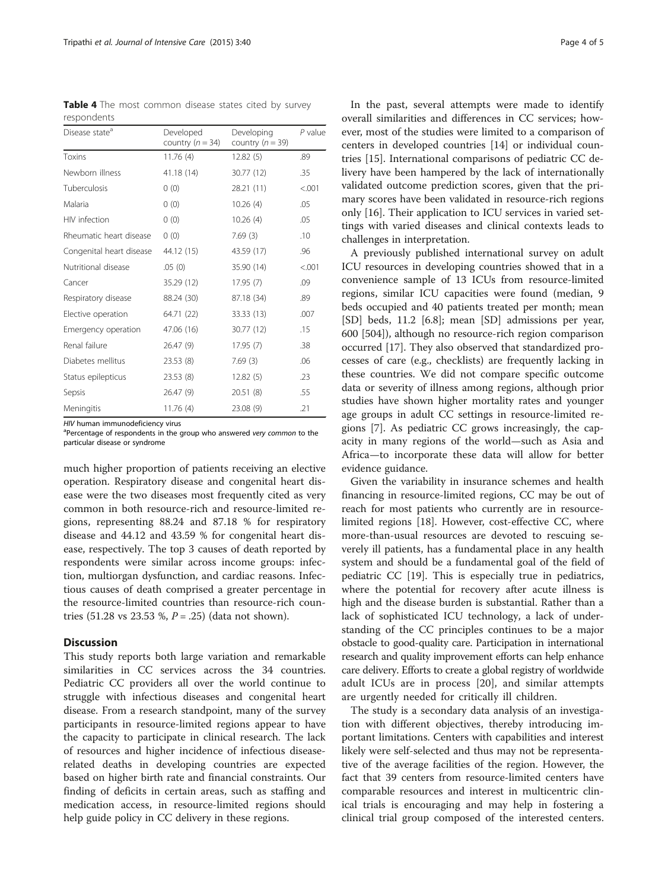HIV human immunodeficiency virus

<sup>a</sup>Percentage of respondents in the group who answered very common to the particular disease or syndrome

much higher proportion of patients receiving an elective operation. Respiratory disease and congenital heart disease were the two diseases most frequently cited as very common in both resource-rich and resource-limited regions, representing 88.24 and 87.18 % for respiratory disease and 44.12 and 43.59 % for congenital heart disease, respectively. The top 3 causes of death reported by respondents were similar across income groups: infection, multiorgan dysfunction, and cardiac reasons. Infectious causes of death comprised a greater percentage in the resource-limited countries than resource-rich countries (51.28 vs 23.53 %,  $P = .25$ ) (data not shown).

### **Discussion**

This study reports both large variation and remarkable similarities in CC services across the 34 countries. Pediatric CC providers all over the world continue to struggle with infectious diseases and congenital heart disease. From a research standpoint, many of the survey participants in resource-limited regions appear to have the capacity to participate in clinical research. The lack of resources and higher incidence of infectious diseaserelated deaths in developing countries are expected based on higher birth rate and financial constraints. Our finding of deficits in certain areas, such as staffing and medication access, in resource-limited regions should help guide policy in CC delivery in these regions.

In the past, several attempts were made to identify overall similarities and differences in CC services; however, most of the studies were limited to a comparison of centers in developed countries [\[14](#page-4-0)] or individual countries [[15\]](#page-4-0). International comparisons of pediatric CC delivery have been hampered by the lack of internationally validated outcome prediction scores, given that the primary scores have been validated in resource-rich regions only [\[16](#page-4-0)]. Their application to ICU services in varied settings with varied diseases and clinical contexts leads to challenges in interpretation.

A previously published international survey on adult ICU resources in developing countries showed that in a convenience sample of 13 ICUs from resource-limited regions, similar ICU capacities were found (median, 9 beds occupied and 40 patients treated per month; mean [SD] beds, 11.2 [6.8]; mean [SD] admissions per year, 600 [504]), although no resource-rich region comparison occurred [\[17\]](#page-4-0). They also observed that standardized processes of care (e.g., checklists) are frequently lacking in these countries. We did not compare specific outcome data or severity of illness among regions, although prior studies have shown higher mortality rates and younger age groups in adult CC settings in resource-limited regions [[7\]](#page-4-0). As pediatric CC grows increasingly, the capacity in many regions of the world—such as Asia and Africa—to incorporate these data will allow for better evidence guidance.

Given the variability in insurance schemes and health financing in resource-limited regions, CC may be out of reach for most patients who currently are in resourcelimited regions [[18](#page-4-0)]. However, cost-effective CC, where more-than-usual resources are devoted to rescuing severely ill patients, has a fundamental place in any health system and should be a fundamental goal of the field of pediatric CC [\[19\]](#page-4-0). This is especially true in pediatrics, where the potential for recovery after acute illness is high and the disease burden is substantial. Rather than a lack of sophisticated ICU technology, a lack of understanding of the CC principles continues to be a major obstacle to good-quality care. Participation in international research and quality improvement efforts can help enhance care delivery. Efforts to create a global registry of worldwide adult ICUs are in process [[20\]](#page-4-0), and similar attempts are urgently needed for critically ill children.

The study is a secondary data analysis of an investigation with different objectives, thereby introducing important limitations. Centers with capabilities and interest likely were self-selected and thus may not be representative of the average facilities of the region. However, the fact that 39 centers from resource-limited centers have comparable resources and interest in multicentric clinical trials is encouraging and may help in fostering a clinical trial group composed of the interested centers.

<span id="page-3-0"></span>Table 4 The most common disease states cited by survey respondents

| Disease state <sup>a</sup> | Developed<br>country $(n = 34)$ | Developing<br>country $(n = 39)$ | $P$ value |
|----------------------------|---------------------------------|----------------------------------|-----------|
| Toxins                     | 11.76(4)                        | 12.82(5)                         | .89       |
| Newborn illness            | 41.18(14)                       | 30.77 (12)                       | .35       |
| Tuberculosis               | 0(0)                            | 28.21(11)                        | < .001    |
| Malaria                    | 0(0)                            | 10.26(4)                         | .05       |
| HIV infection              | 0(0)                            | 10.26(4)                         | .05       |
| Rheumatic heart disease    | 0(0)                            | 7.69(3)                          | .10       |
| Congenital heart disease   | 44.12 (15)                      | 43.59 (17)                       | .96       |
| Nutritional disease        | .05(0)                          | 35.90 (14)                       | < .001    |
| Cancer                     | 35.29 (12)                      | 17.95(7)                         | .09       |
| Respiratory disease        | 88.24 (30)                      | 87.18 (34)                       | .89       |
| Elective operation         | 64.71 (22)                      | 33.33 (13)                       | .007      |
| Emergency operation        | 47.06 (16)                      | 30.77 (12)                       | .15       |
| Renal failure              | 26.47(9)                        | 17.95(7)                         | .38       |
| Diabetes mellitus          | 23.53(8)                        | 7.69(3)                          | .06       |
| Status epilepticus         | 23.53(8)                        | 12.82(5)                         | .23       |
| Sepsis                     | 26.47(9)                        | 20.51(8)                         | .55       |
| Meningitis                 | 11.76(4)                        | 23.08 (9)                        | .21       |
|                            |                                 |                                  |           |